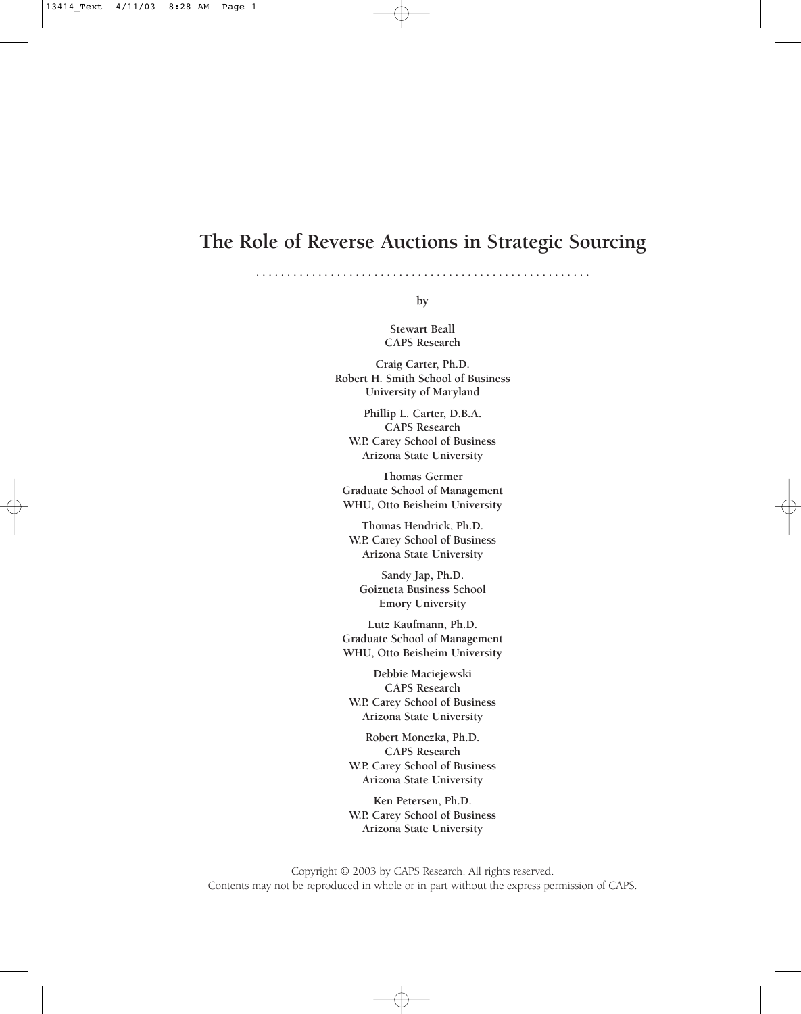### **The Role of Reverse Auctions in Strategic Sourcing**

**. . . . . . . . . . . . . . . . . . . . . . . . . . . . . . . . . . . . . . . . . . . . . . . . . . . . . .** 

**by**

**Stewart Beall CAPS Research**

**Craig Carter, Ph.D. Robert H. Smith School of Business University of Maryland**

**Phillip L. Carter, D.B.A. CAPS Research W.P. Carey School of Business Arizona State University**

**Thomas Germer Graduate School of Management WHU, Otto Beisheim University**

**Thomas Hendrick, Ph.D. W.P. Carey School of Business Arizona State University**

**Sandy Jap, Ph.D. Goizueta Business School Emory University**

**Lutz Kaufmann, Ph.D. Graduate School of Management WHU, Otto Beisheim University**

**Debbie Maciejewski CAPS Research W.P. Carey School of Business Arizona State University**

**Robert Monczka, Ph.D. CAPS Research W.P. Carey School of Business Arizona State University**

**Ken Petersen, Ph.D. W.P. Carey School of Business Arizona State University**

Copyright © 2003 by CAPS Research. All rights reserved. Contents may not be reproduced in whole or in part without the express permission of CAPS.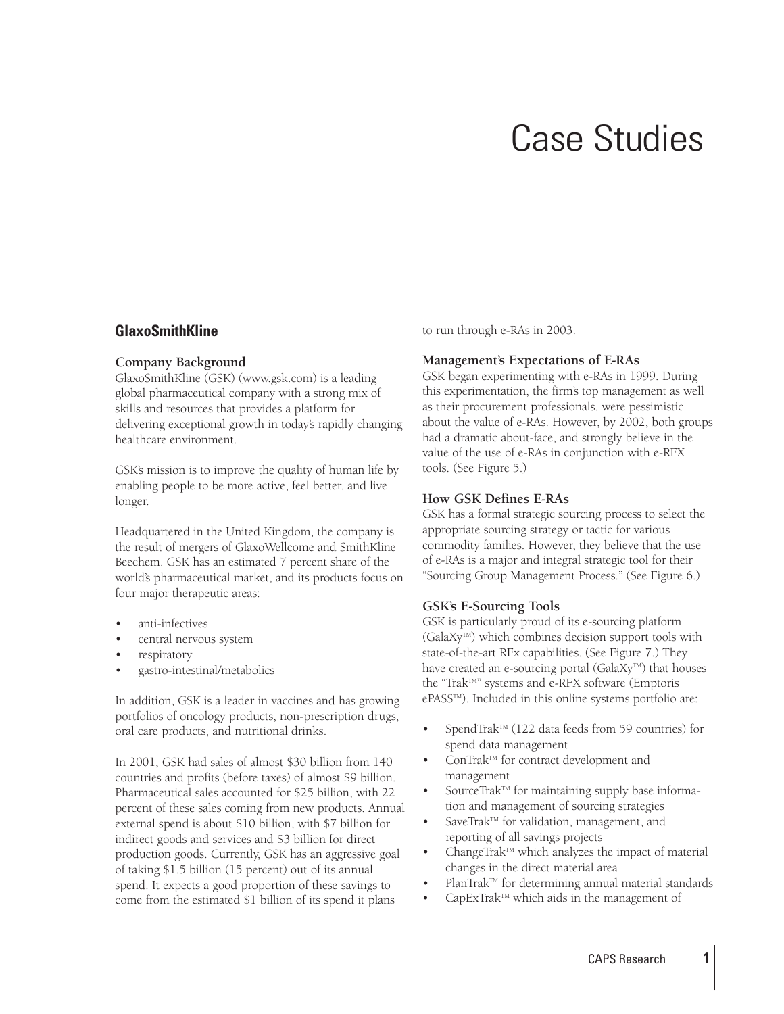# Case Studies

#### **GlaxoSmithKline**

#### **Company Background**

GlaxoSmithKline (GSK) (www.gsk.com) is a leading global pharmaceutical company with a strong mix of skills and resources that provides a platform for delivering exceptional growth in today's rapidly changing healthcare environment.

GSK's mission is to improve the quality of human life by enabling people to be more active, feel better, and live longer.

Headquartered in the United Kingdom, the company is the result of mergers of GlaxoWellcome and SmithKline Beechem. GSK has an estimated 7 percent share of the world's pharmaceutical market, and its products focus on four major therapeutic areas:

- anti-infectives
- central nervous system
- respiratory
- gastro-intestinal/metabolics

In addition, GSK is a leader in vaccines and has growing portfolios of oncology products, non-prescription drugs, oral care products, and nutritional drinks.

In 2001, GSK had sales of almost \$30 billion from 140 countries and profits (before taxes) of almost \$9 billion. Pharmaceutical sales accounted for \$25 billion, with 22 percent of these sales coming from new products. Annual external spend is about \$10 billion, with \$7 billion for indirect goods and services and \$3 billion for direct production goods. Currently, GSK has an aggressive goal of taking \$1.5 billion (15 percent) out of its annual spend. It expects a good proportion of these savings to come from the estimated \$1 billion of its spend it plans

to run through e-RAs in 2003.

#### **Management's Expectations of E-RAs**

GSK began experimenting with e-RAs in 1999. During this experimentation, the firm's top management as well as their procurement professionals, were pessimistic about the value of e-RAs. However, by 2002, both groups had a dramatic about-face, and strongly believe in the value of the use of e-RAs in conjunction with e-RFX tools. (See Figure 5.)

#### **How GSK Defines E-RAs**

GSK has a formal strategic sourcing process to select the appropriate sourcing strategy or tactic for various commodity families. However, they believe that the use of e-RAs is a major and integral strategic tool for their "Sourcing Group Management Process." (See Figure 6.)

#### **GSK's E-Sourcing Tools**

GSK is particularly proud of its e-sourcing platform (GalaXyTM) which combines decision support tools with state-of-the-art RFx capabilities. (See Figure 7.) They have created an e-sourcing portal (GalaXy<sup>™</sup>) that houses the "TrakTM" systems and e-RFX software (Emptoris ePASS™). Included in this online systems portfolio are:

- SpendTrak<sup>™</sup> (122 data feeds from 59 countries) for spend data management
- ConTrak<sup>™</sup> for contract development and management
- SourceTrak™ for maintaining supply base information and management of sourcing strategies
- SaveTrak™ for validation, management, and reporting of all savings projects
- ChangeTrak™ which analyzes the impact of material changes in the direct material area
- PlanTrak™ for determining annual material standards
- CapExTrak<sup>™</sup> which aids in the management of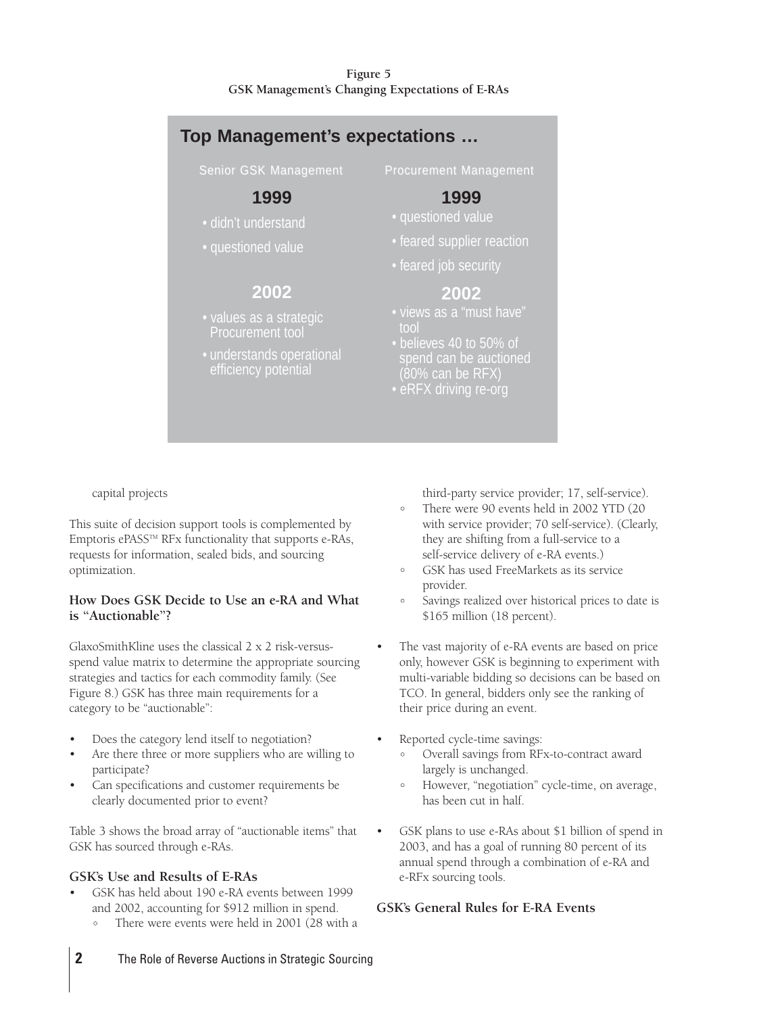#### **Figure 5 GSK Management's Changing Expectations of E-RAs**



capital projects

This suite of decision support tools is complemented by Emptoris ePASSTM RFx functionality that supports e-RAs, requests for information, sealed bids, and sourcing optimization.

#### **How Does GSK Decide to Use an e-RA and What is "Auctionable"?**

GlaxoSmithKline uses the classical 2 x 2 risk-versusspend value matrix to determine the appropriate sourcing strategies and tactics for each commodity family. (See Figure 8.) GSK has three main requirements for a category to be "auctionable":

- Does the category lend itself to negotiation?
- Are there three or more suppliers who are willing to participate?
- Can specifications and customer requirements be clearly documented prior to event?

Table 3 shows the broad array of "auctionable items" that GSK has sourced through e-RAs.

#### **GSK's Use and Results of E-RAs**

- GSK has held about 190 e-RA events between 1999 and 2002, accounting for \$912 million in spend.
	- There were events were held in 2001 (28 with a

third-party service provider; 17, self-service).

- There were 90 events held in 2002 YTD (20 with service provider; 70 self-service). (Clearly, they are shifting from a full-service to a self-service delivery of e-RA events.)
- GSK has used FreeMarkets as its service provider.
- Savings realized over historical prices to date is \$165 million (18 percent).
- The vast majority of e-RA events are based on price only, however GSK is beginning to experiment with multi-variable bidding so decisions can be based on TCO. In general, bidders only see the ranking of their price during an event.
- Reported cycle-time savings:
	- Overall savings from RFx-to-contract award largely is unchanged.
	- However, "negotiation" cycle-time, on average, has been cut in half.
- GSK plans to use e-RAs about \$1 billion of spend in 2003, and has a goal of running 80 percent of its annual spend through a combination of e-RA and e-RFx sourcing tools.

#### **GSK's General Rules for E-RA Events**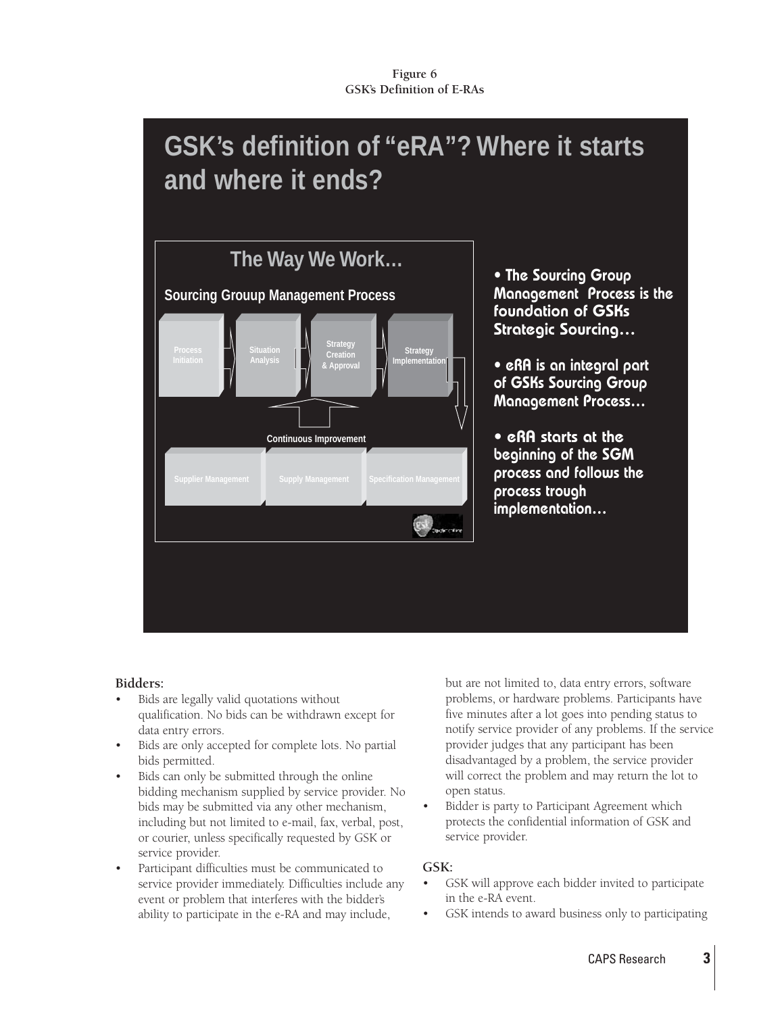## **GSK's definition of "eRA"? Where it starts and where it ends?**



• The Sourcing Group Management Process is the foundation of GSKs Strategic Sourcing…

• eRA is an integral part of GSKs Sourcing Group Management Process…

• eRA starts at the beginning of the SGM process and follows the process trough implementation…

#### **Bidders:**

- Bids are legally valid quotations without qualification. No bids can be withdrawn except for data entry errors.
- Bids are only accepted for complete lots. No partial bids permitted.
- Bids can only be submitted through the online bidding mechanism supplied by service provider. No bids may be submitted via any other mechanism, including but not limited to e-mail, fax, verbal, post, or courier, unless specifically requested by GSK or service provider.
- Participant difficulties must be communicated to service provider immediately. Difficulties include any event or problem that interferes with the bidder's ability to participate in the e-RA and may include,

but are not limited to, data entry errors, software problems, or hardware problems. Participants have five minutes after a lot goes into pending status to notify service provider of any problems. If the service provider judges that any participant has been disadvantaged by a problem, the service provider will correct the problem and may return the lot to open status.

Bidder is party to Participant Agreement which protects the confidential information of GSK and service provider.

#### **GSK:**

- GSK will approve each bidder invited to participate in the e-RA event.
- GSK intends to award business only to participating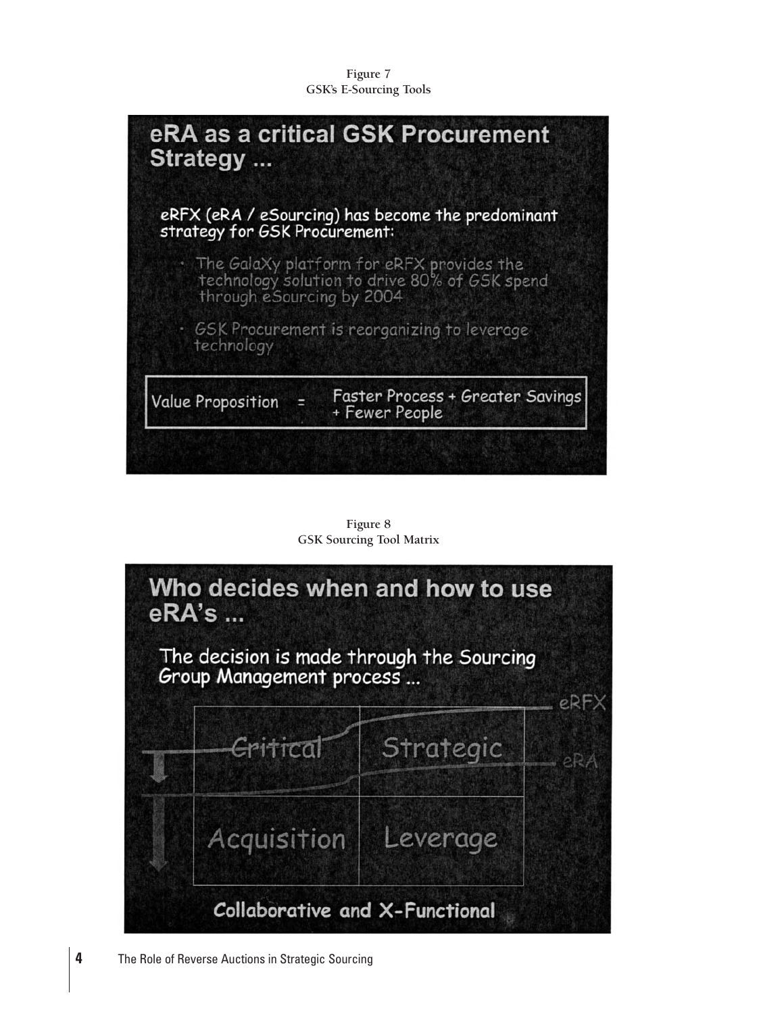**Figure 7 GSK's E-Sourcing Tools**



**Figure 8 GSK Sourcing Tool Matrix**